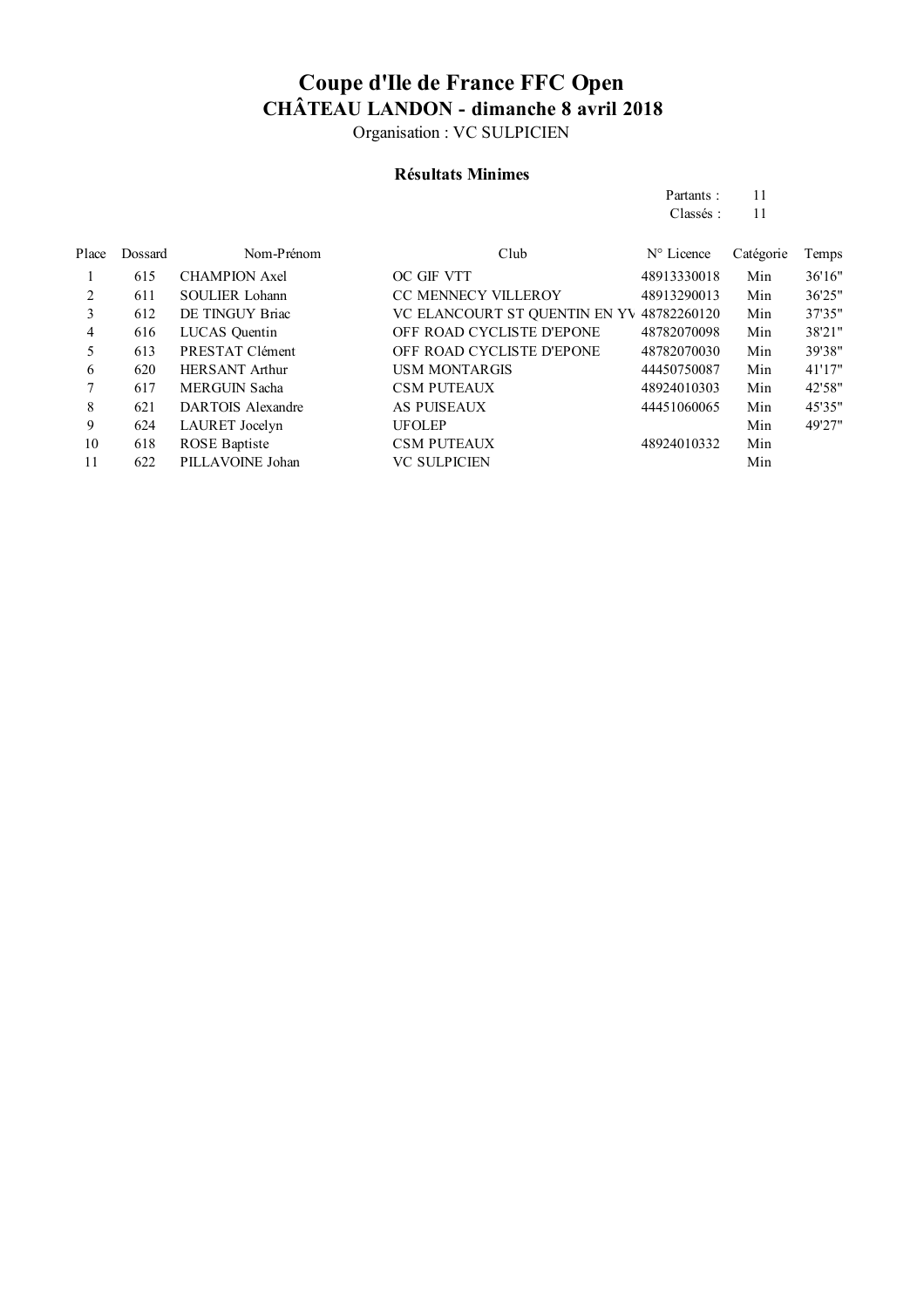Organisation : VC SULPICIEN

### **Résultats Minimes**

| Partants: | 11 |
|-----------|----|
| Classés:  | 11 |

| Place | Dossard | Nom-Prénom            | Club                                      | $N^{\circ}$ Licence | Catégorie | Temps   |
|-------|---------|-----------------------|-------------------------------------------|---------------------|-----------|---------|
|       | 615     | <b>CHAMPION Axel</b>  | OC GIF VTT                                | 48913330018         | Min       | 36'16"  |
| 2     | 611     | <b>SOULIER Lohann</b> | <b>CC MENNECY VILLEROY</b>                | 48913290013         | Min       | 36'25"  |
| 3     | 612     | DE TINGUY Briac       | VC ELANCOURT ST QUENTIN EN YV 48782260120 |                     | Min       | 37'35"  |
| 4     | 616     | LUCAS Quentin         | OFF ROAD CYCLISTE D'EPONE                 | 48782070098         | Min       | 38'21"  |
| 5     | 613     | PRESTAT Clément       | OFF ROAD CYCLISTE D'EPONE                 | 48782070030         | Min       | 39'38"  |
| 6     | 620     | <b>HERSANT Arthur</b> | <b>USM MONTARGIS</b>                      | 44450750087         | Min       | 41'17'' |
|       | 617     | <b>MERGUIN Sacha</b>  | <b>CSM PUTEAUX</b>                        | 48924010303         | Min       | 42'58"  |
| 8     | 621     | DARTOIS Alexandre     | <b>AS PUISEAUX</b>                        | 44451060065         | Min       | 45'35"  |
| 9     | 624     | LAURET Jocelyn        | <b>UFOLEP</b>                             |                     | Min       | 49'27"  |
| 10    | 618     | <b>ROSE</b> Baptiste  | <b>CSM PUTEAUX</b>                        | 48924010332         | Min       |         |
| 11    | 622     | PILLAVOINE Johan      | <b>VC SULPICIEN</b>                       |                     | Min       |         |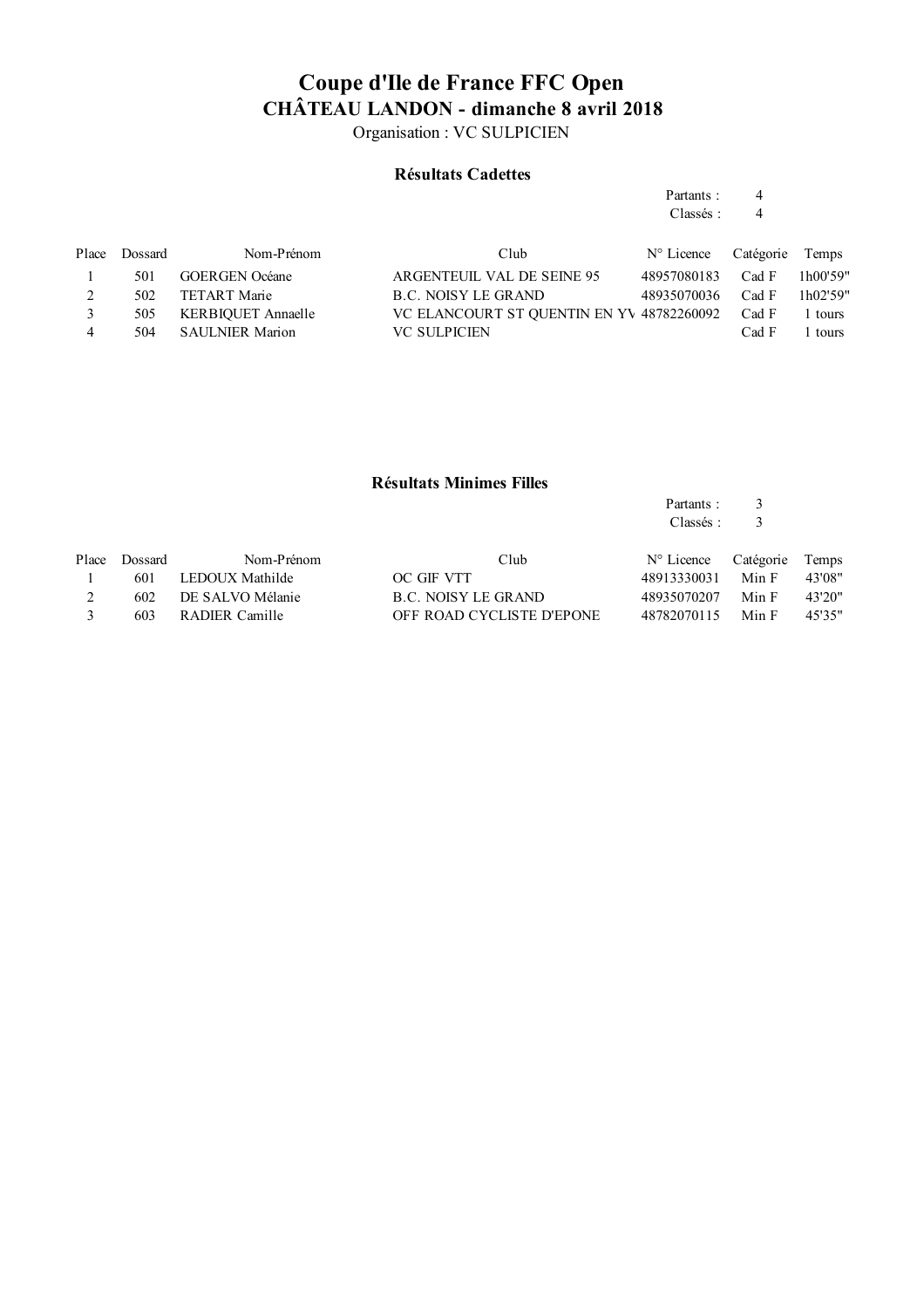Organisation : VC SULPICIEN

#### **Résultats Cadettes**

| Partants: | 4 |
|-----------|---|
| Classés:  | 4 |

Place Dossard Nom-Prénom Club  $N^{\circ}$  Licence Catégorie Temps 1 501 GOERGEN Océane ARGENTEUIL VAL DE SEINE 95 48957080183 Cad F 1h00'59" 2 502 TETART Marie B.C. NOISY LE GRAND 48935070036 Cad F 1h02'59" 3 505 KERBIQUET Annaelle VC ELANCOURT ST QUENTIN EN YV 48782260092 Cad F 1 tours 4 504 SAULNIER Marion VC SULPICIEN Cad F 1 tours

#### **Résultats Minimes Filles**

| Partants: |  |
|-----------|--|
| Classés:  |  |

| Place | Dossard | Nom-Prénom           | Club                      | N° Licence Catégorie Temps |       |        |
|-------|---------|----------------------|---------------------------|----------------------------|-------|--------|
|       |         | 601 LEDOUX Mathilde  | OC GIF VTT                | 48913330031                | Min F | 43'08" |
|       |         | 602 DE SALVO Mélanie | B.C. NOISY LE GRAND       | 48935070207                | Min F | 43'20" |
|       | 603     | RADIER Camille       | OFF ROAD CYCLISTE D'EPONE | 48782070115                | Min F | 45'35" |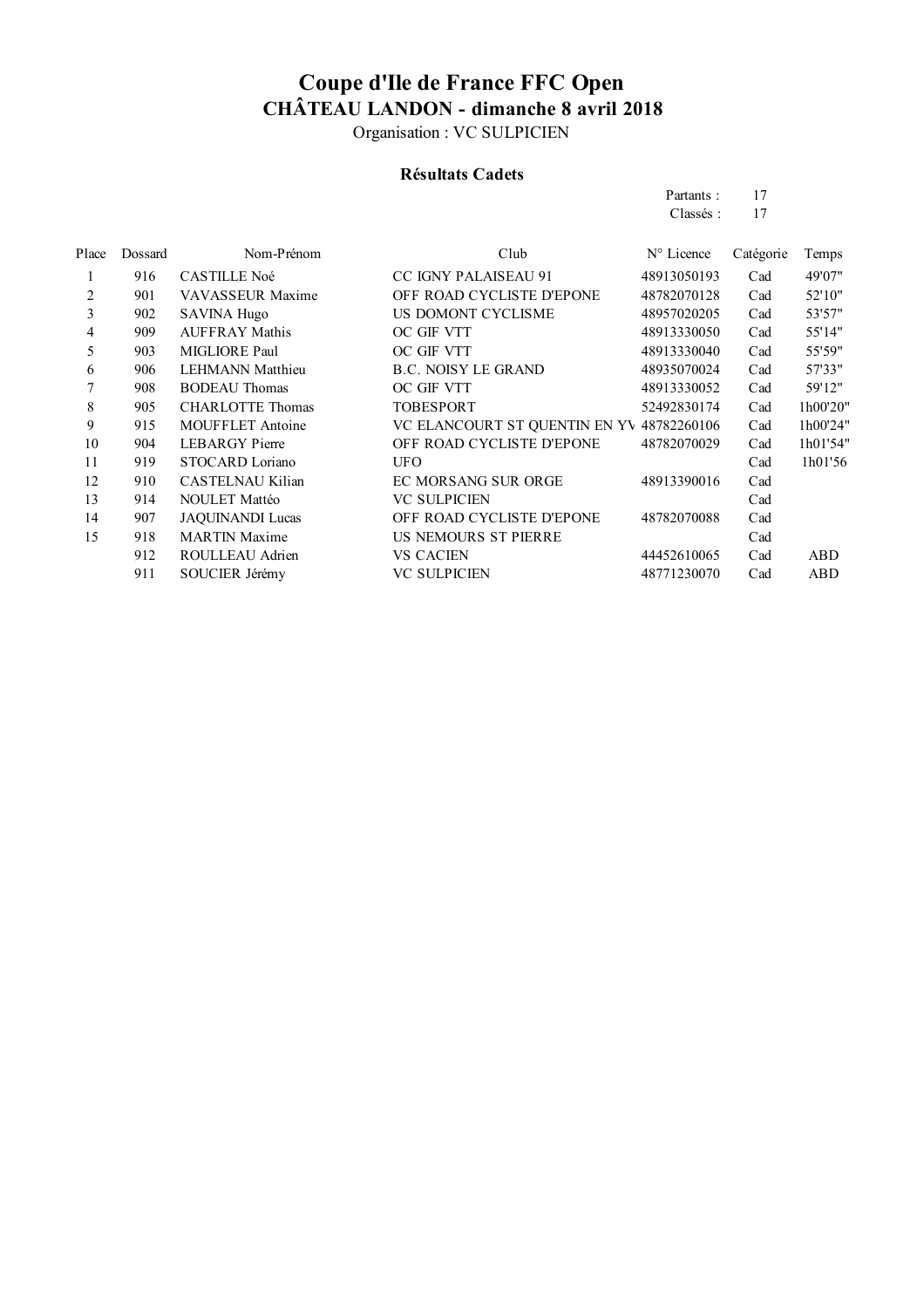Organisation : VC SULPICIEN

### **Résultats Cadets**

| Partants: | 17 |
|-----------|----|
| Classés : | 17 |

| Place | Dossard | Nom-Prénom              | Club                                      | N° Licence  | Catégorie | Temps      |
|-------|---------|-------------------------|-------------------------------------------|-------------|-----------|------------|
| 1     | 916     | <b>CASTILLE Noé</b>     | <b>CC IGNY PALAISEAU 91</b>               | 48913050193 | Cad       | 49'07"     |
| 2     | 901     | <b>VAVASSEUR Maxime</b> | OFF ROAD CYCLISTE D'EPONE                 | 48782070128 | Cad       | 52'10"     |
| 3     | 902     | <b>SAVINA Hugo</b>      | US DOMONT CYCLISME                        | 48957020205 | Cad       | 53'57"     |
| 4     | 909     | <b>AUFFRAY Mathis</b>   | OC GIF VTT                                | 48913330050 | Cad       | 55'14"     |
| 5     | 903     | MIGLIORE Paul           | OC GIF VTT                                | 48913330040 | Cad       | 55'59"     |
| 6     | 906     | <b>LEHMANN Matthieu</b> | <b>B.C. NOISY LE GRAND</b>                | 48935070024 | Cad       | 57'33"     |
|       | 908     | <b>BODEAU</b> Thomas    | OC GIF VTT                                | 48913330052 | Cad       | 59'12"     |
| 8     | 905     | <b>CHARLOTTE Thomas</b> | TOBESPORT                                 | 52492830174 | Cad       | 1h00'20"   |
| 9     | 915     | <b>MOUFFLET Antoine</b> | VC ELANCOURT ST QUENTIN EN YV 48782260106 |             | Cad       | 1h00'24"   |
| 10    | 904     | <b>LEBARGY</b> Pierre   | OFF ROAD CYCLISTE D'EPONE                 | 48782070029 | Cad       | 1h01'54"   |
| 11    | 919     | STOCARD Loriano         | UFO                                       |             | Cad       | 1h01'56    |
| 12    | 910     | CASTELNAU Kilian        | EC MORSANG SUR ORGE                       | 48913390016 | Cad       |            |
| 13    | 914     | <b>NOULET Mattéo</b>    | <b>VC SULPICIEN</b>                       |             | Cad       |            |
| 14    | 907     | <b>JAQUINANDI Lucas</b> | OFF ROAD CYCLISTE D'EPONE                 | 48782070088 | Cad       |            |
| 15    | 918     | <b>MARTIN Maxime</b>    | US NEMOURS ST PIERRE                      |             | Cad       |            |
|       | 912     | ROULLEAU Adrien         | <b>VS CACIEN</b>                          | 44452610065 | Cad       | ABD        |
|       | 911     | SOUCIER Jérémy          | <b>VC SULPICIEN</b>                       | 48771230070 | Cad       | <b>ABD</b> |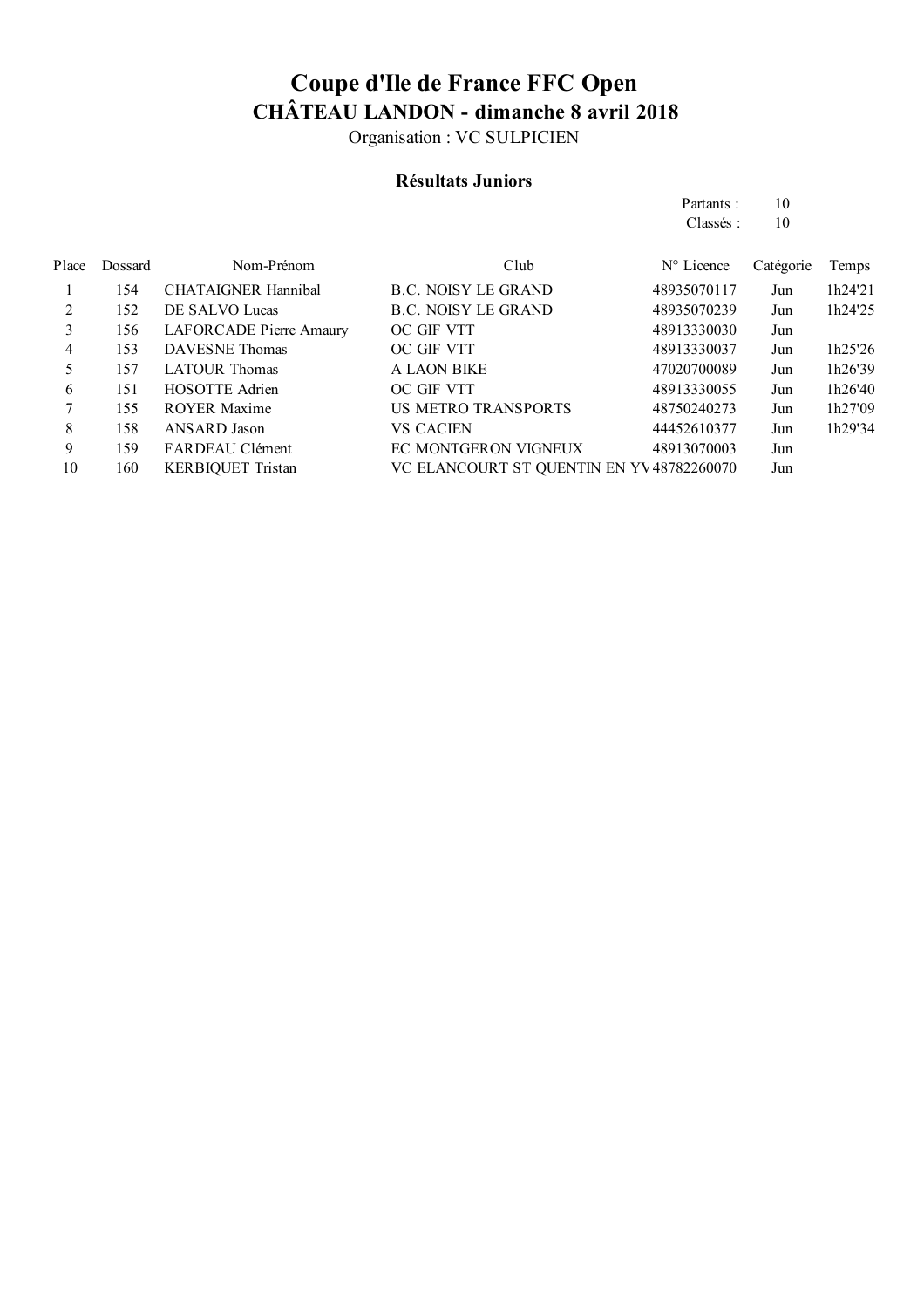Organisation : VC SULPICIEN

### **Résultats Juniors**

|       |         |                            |                                           | Partants:           | 10        |         |
|-------|---------|----------------------------|-------------------------------------------|---------------------|-----------|---------|
|       |         |                            |                                           | Classés:            | 10        |         |
| Place | Dossard | Nom-Prénom                 | Club                                      | $N^{\circ}$ Licence | Catégorie | Temps   |
|       | 154     | <b>CHATAIGNER Hannibal</b> | <b>B.C. NOISY LE GRAND</b>                | 48935070117         | Jun       | 1h24'21 |
| 2     | 152     | DE SALVO Lucas             | B.C. NOISY LE GRAND                       | 48935070239         | Jun       | 1h24'25 |
| 3     | 156     | LAFORCADE Pierre Amaury    | OC GIF VTT                                | 48913330030         | Jun       |         |
| 4     | 153     | DAVESNE Thomas             | OC GIF VTT                                | 48913330037         | Jun       | 1h25'26 |
| 5     | 157     | <b>LATOUR Thomas</b>       | <b>A LAON BIKE</b>                        | 47020700089         | Jun       | 1h26'39 |
| 6     | 151     | <b>HOSOTTE Adrien</b>      | OC GIF VTT                                | 48913330055         | Jun       | 1h26'40 |
|       | 155     | <b>ROYER Maxime</b>        | <b>US METRO TRANSPORTS</b>                | 48750240273         | Jun       | 1h27'09 |
| 8     | 158     | ANSARD Jason               | <b>VS CACIEN</b>                          | 44452610377         | Jun       | 1h29'34 |
| 9     | 159     | FARDEAU Clément            | EC MONTGERON VIGNEUX                      | 48913070003         | Jun       |         |
| 10    | 160     | <b>KERBIQUET Tristan</b>   | VC ELANCOURT ST QUENTIN EN YV 48782260070 |                     | Jun       |         |
|       |         |                            |                                           |                     |           |         |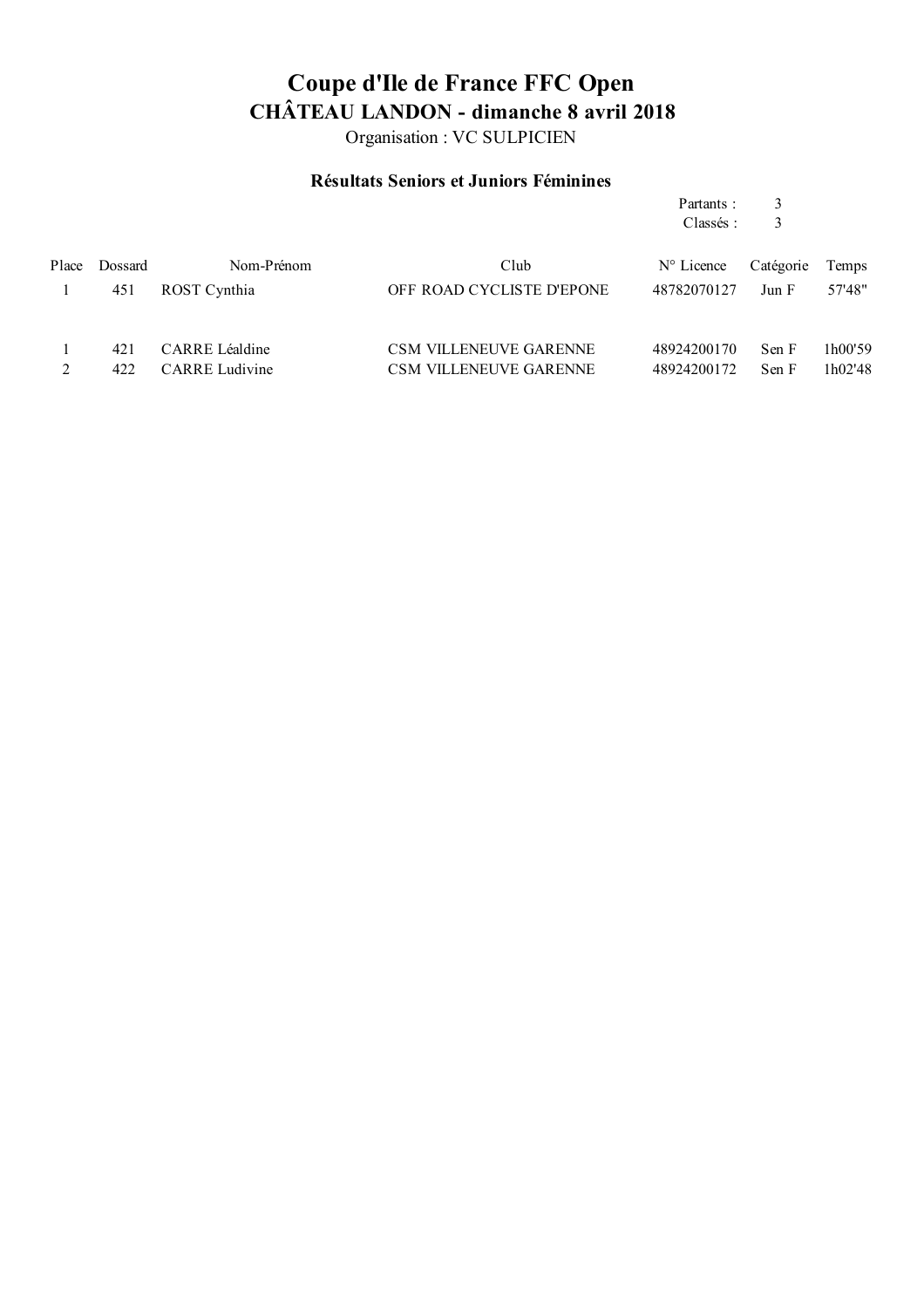Organisation : VC SULPICIEN

### **Résultats Seniors et Juniors Féminines**

|       |            |                                         |                                                                | Partants:<br>Classés:      | 3<br>3         |                    |
|-------|------------|-----------------------------------------|----------------------------------------------------------------|----------------------------|----------------|--------------------|
| Place | Dossard    | Nom-Prénom                              | Club                                                           | $N^{\circ}$ Licence        | Catégorie      | Temps              |
|       | 451        | ROST Cynthia                            | OFF ROAD CYCLISTE D'EPONE                                      | 48782070127                | Jun F          | 57'48"             |
|       | 421<br>422 | CARRE Léaldine<br><b>CARRE</b> Ludivine | <b>CSM VILLENEUVE GARENNE</b><br><b>CSM VILLENEUVE GARENNE</b> | 48924200170<br>48924200172 | Sen F<br>Sen F | 1h00'59<br>1h02'48 |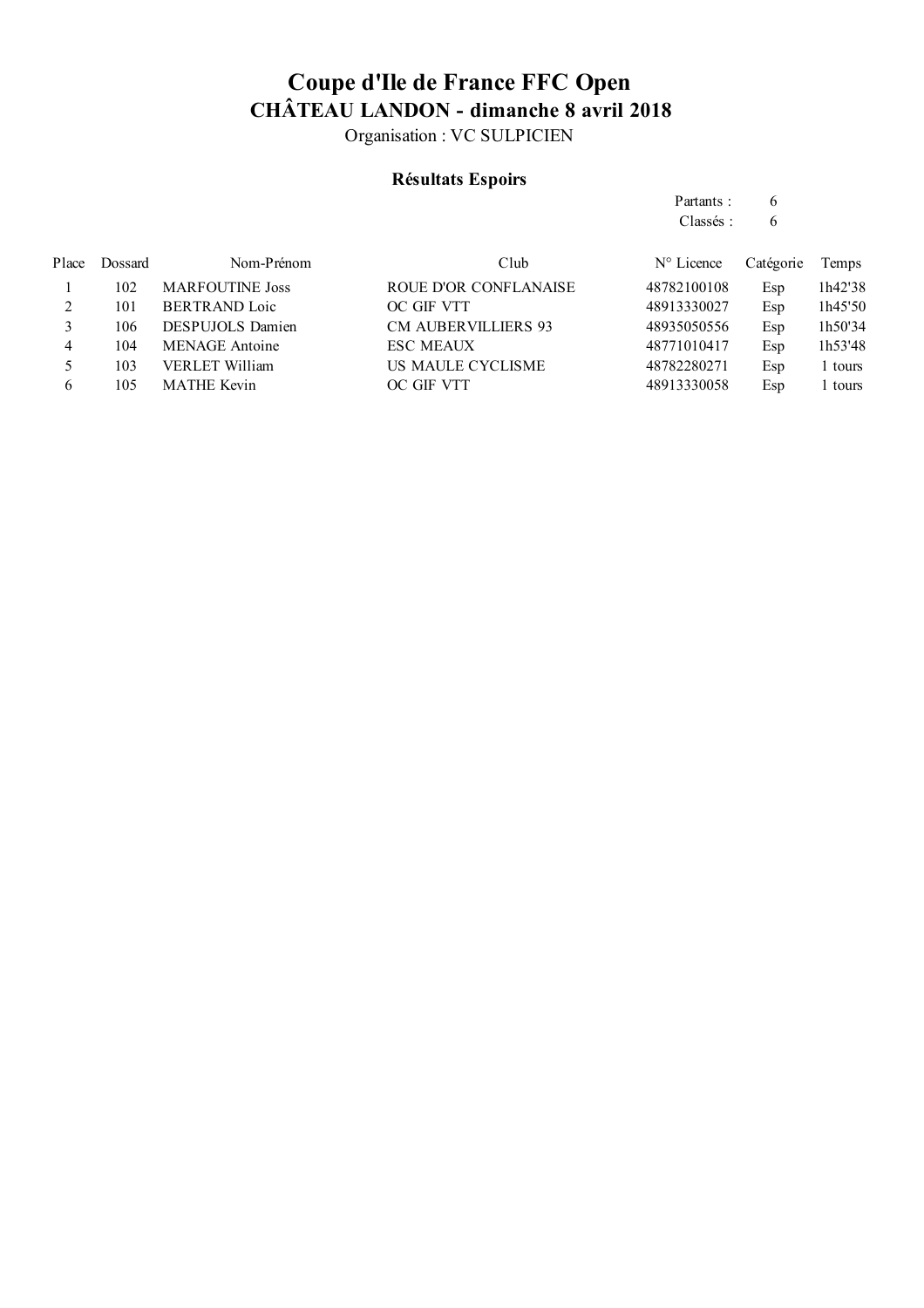Organisation : VC SULPICIEN

### **Résultats Espoirs**

| Partants: | 6 |
|-----------|---|
| Classés:  | 6 |

| Place | Dossard | Nom-Prénom              | Club                       | $N^{\circ}$ Licence | Catégorie | Temps   |
|-------|---------|-------------------------|----------------------------|---------------------|-----------|---------|
|       | 102     | <b>MARFOUTINE Joss</b>  | ROUE D'OR CONFLANAISE      | 48782100108         | Esp       | 1h42'38 |
|       | 101     | <b>BERTRAND Loic</b>    | OC GIF VTT                 | 48913330027         | Esp       | 1h45'50 |
|       | 106     | <b>DESPUJOLS</b> Damien | <b>CM AUBERVILLIERS 93</b> | 48935050556         | Esp       | 1h50'34 |
| 4     | 104     | <b>MENAGE</b> Antoine   | <b>ESC MEAUX</b>           | 48771010417         | Esp       | 1h53'48 |
|       | 103     | <b>VERLET William</b>   | US MAULE CYCLISME          | 48782280271         | Esp       | l tours |
| 6     | 105     | <b>MATHE Kevin</b>      | OC GIF VTT                 | 48913330058         | Esp       | l tours |
|       |         |                         |                            |                     |           |         |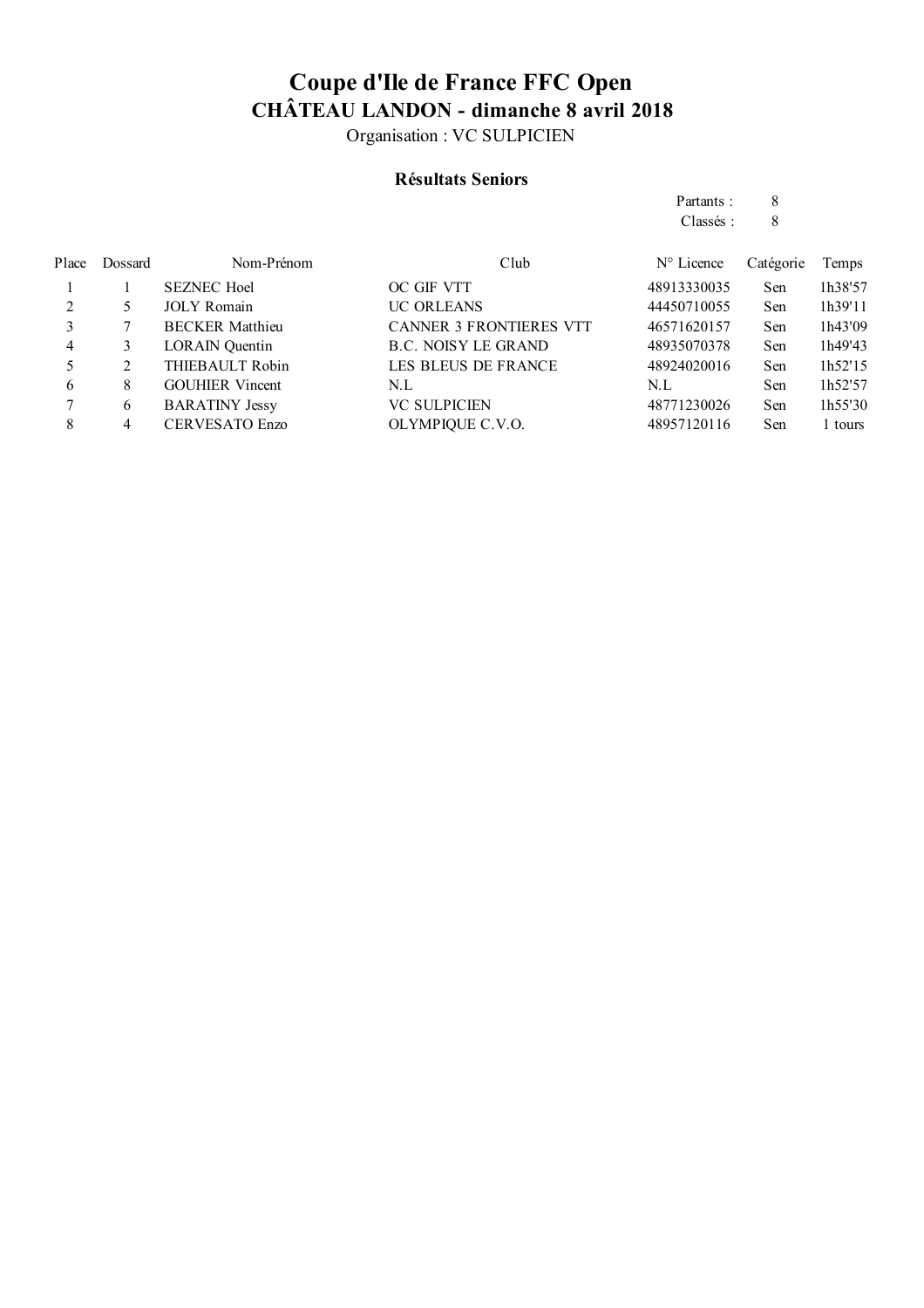Organisation : VC SULPICIEN

#### **Résultats Seniors**

|       |         |                        |                                | Partants:           | 8         |         |
|-------|---------|------------------------|--------------------------------|---------------------|-----------|---------|
|       |         |                        |                                | Classés:            | 8         |         |
| Place | Dossard | Nom-Prénom             | Club                           | $N^{\circ}$ Licence | Catégorie | Temps   |
|       |         | <b>SEZNEC Hoel</b>     | OC GIF VTT                     | 48913330035         | Sen       | 1h38'57 |
| 2     | 5       | <b>JOLY Romain</b>     | <b>UC ORLEANS</b>              | 44450710055         | Sen       | 1h39'11 |
| 3     |         | <b>BECKER Matthieu</b> | <b>CANNER 3 FRONTIERES VTT</b> | 46571620157         | Sen       | 1h43'09 |
| 4     | 3       | <b>LORAIN</b> Quentin  | B.C. NOISY LE GRAND            | 48935070378         | Sen       | 1h49'43 |
| 5     | 2       | THIEBAULT Robin        | LES BLEUS DE FRANCE            | 48924020016         | Sen       | 1h52'15 |
| 6     | 8       | <b>GOUHIER</b> Vincent | N.L                            | N.L                 | Sen       | 1h52'57 |
|       | 6       | <b>BARATINY Jessy</b>  | <b>VC SULPICIEN</b>            | 48771230026         | Sen       | 1h55'30 |
| 8     | 4       | <b>CERVESATO Enzo</b>  | OLYMPIQUE C.V.O.               | 48957120116         | Sen       | 1 tours |
|       |         |                        |                                |                     |           |         |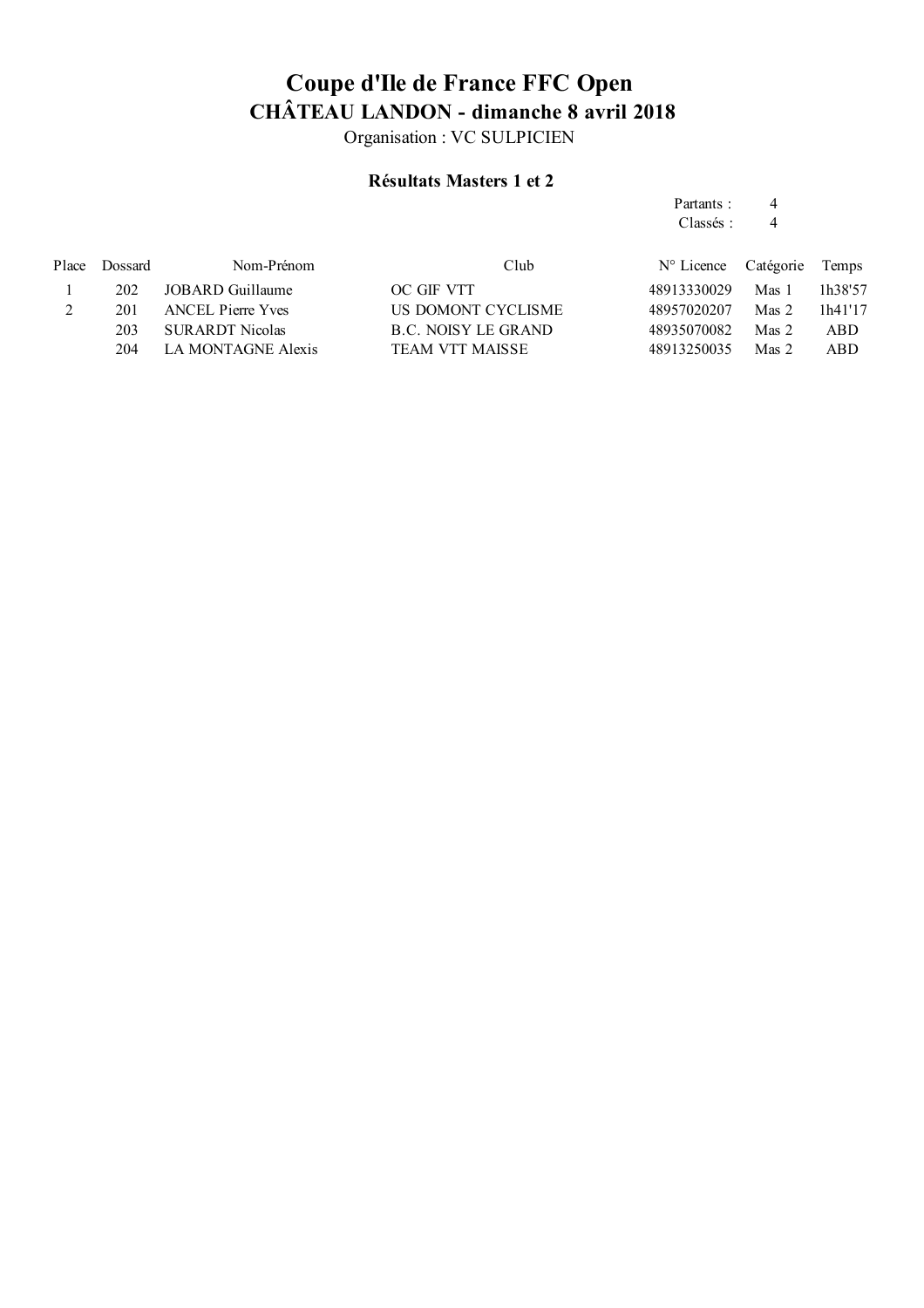Organisation : VC SULPICIEN

### **Résultats Masters 1 et 2**

Partants : 4

|         |                           |                        | Classés:            | 4              |            |
|---------|---------------------------|------------------------|---------------------|----------------|------------|
| Dossard | Nom-Prénom                | Club                   | $N^{\circ}$ Licence |                | Temps      |
| 202     | JOBARD Guillaume          | OC GIF VTT             | 48913330029         | Mas 1          | 1h38'57    |
| 201     | <b>ANCEL Pierre Yves</b>  | US DOMONT CYCLISME     | 48957020207         | Mas 2          | 1h41'17    |
| 203     | <b>SURARDT Nicolas</b>    | B.C. NOISY LE GRAND    | 48935070082         | $\n  Mass 2\n$ | <b>ABD</b> |
| 204     | <b>LA MONTAGNE Alexis</b> | <b>TEAM VTT MAISSE</b> | 48913250035         | $\n  Mass 2\n$ | <b>ABD</b> |
|         |                           |                        |                     |                | Catégorie  |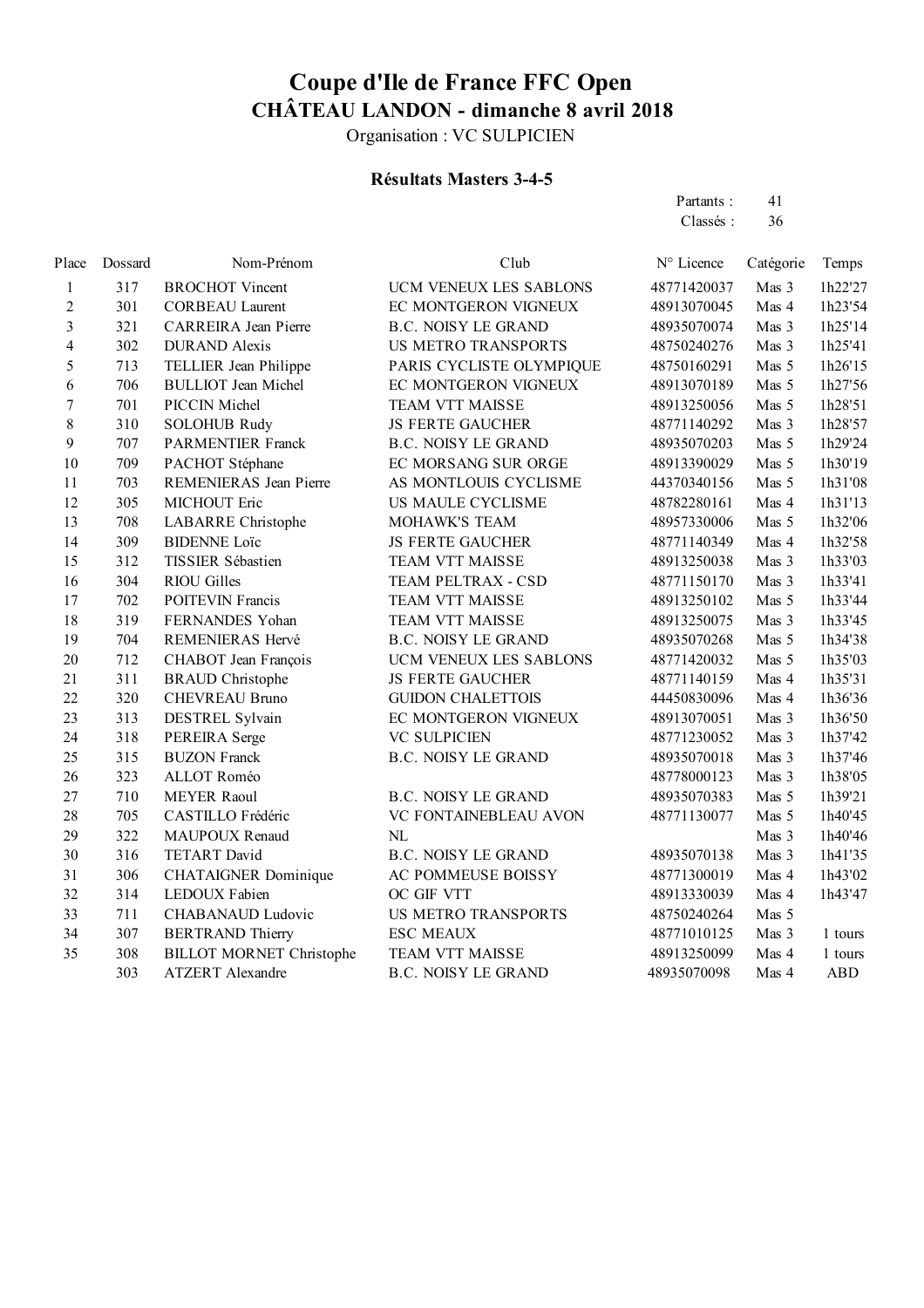Organisation : VC SULPICIEN

#### **Résultats Masters 3-4-5**

Partants : 41 Classés : 36

| Place                   | Dossard | Nom-Prénom                      | Club                       | N° Licence  | Catégorie | Temps      |
|-------------------------|---------|---------------------------------|----------------------------|-------------|-----------|------------|
| 1                       | 317     | <b>BROCHOT Vincent</b>          | UCM VENEUX LES SABLONS     | 48771420037 | Mas 3     | 1h22'27    |
| 2                       | 301     | <b>CORBEAU Laurent</b>          | EC MONTGERON VIGNEUX       | 48913070045 | Mas 4     | 1h23'54    |
| $\overline{\mathbf{3}}$ | 321     | <b>CARREIRA</b> Jean Pierre     | <b>B.C. NOISY LE GRAND</b> | 48935070074 | Mas 3     | 1h25'14    |
| $\overline{\mathbf{4}}$ | 302     | <b>DURAND</b> Alexis            | <b>US METRO TRANSPORTS</b> | 48750240276 | Mas 3     | 1h25'41    |
| 5                       | 713     | TELLIER Jean Philippe           | PARIS CYCLISTE OLYMPIQUE   | 48750160291 | Mas 5     | 1h26'15    |
| 6                       | 706     | <b>BULLIOT</b> Jean Michel      | EC MONTGERON VIGNEUX       | 48913070189 | Mas 5     | 1h27'56    |
| $\overline{7}$          | 701     | PICCIN Michel                   | <b>TEAM VTT MAISSE</b>     | 48913250056 | Mas 5     | 1h28'51    |
| 8                       | 310     | <b>SOLOHUB Rudy</b>             | <b>JS FERTE GAUCHER</b>    | 48771140292 | Mas 3     | 1h28'57    |
| 9                       | 707     | <b>PARMENTIER Franck</b>        | <b>B.C. NOISY LE GRAND</b> | 48935070203 | Mas 5     | 1h29'24    |
| 10                      | 709     | PACHOT Stéphane                 | EC MORSANG SUR ORGE        | 48913390029 | Mas 5     | 1h30'19    |
| 11                      | 703     | REMENIERAS Jean Pierre          | AS MONTLOUIS CYCLISME      | 44370340156 | Mas 5     | 1h31'08    |
| 12                      | 305     | MICHOUT Eric                    | US MAULE CYCLISME          | 48782280161 | Mas 4     | 1h31'13    |
| 13                      | 708     | <b>LABARRE</b> Christophe       | MOHAWK'S TEAM              | 48957330006 | Mas 5     | 1h32'06    |
| 14                      | 309     | <b>BIDENNE Loïc</b>             | <b>JS FERTE GAUCHER</b>    | 48771140349 | Mas 4     | 1h32'58    |
| 15                      | 312     | TISSIER Sébastien               | TEAM VTT MAISSE            | 48913250038 | Mas 3     | 1h33'03    |
| 16                      | 304     | <b>RIOU Gilles</b>              | TEAM PELTRAX - CSD         | 48771150170 | Mas 3     | 1h33'41    |
| 17                      | 702     | <b>POITEVIN Francis</b>         | <b>TEAM VTT MAISSE</b>     | 48913250102 | Mas 5     | 1h33'44    |
| 18                      | 319     | FERNANDES Yohan                 | <b>TEAM VTT MAISSE</b>     | 48913250075 | Mas 3     | 1h33'45    |
| 19                      | 704     | REMENIERAS Hervé                | <b>B.C. NOISY LE GRAND</b> | 48935070268 | Mas 5     | 1h34'38    |
| 20                      | 712     | CHABOT Jean François            | UCM VENEUX LES SABLONS     | 48771420032 | Mas 5     | 1h35'03    |
| 21                      | 311     | <b>BRAUD</b> Christophe         | <b>JS FERTE GAUCHER</b>    | 48771140159 | Mas 4     | 1h35'31    |
| 22                      | 320     | <b>CHEVREAU Bruno</b>           | <b>GUIDON CHALETTOIS</b>   | 44450830096 | Mas 4     | 1h36'36    |
| 23                      | 313     | DESTREL Sylvain                 | EC MONTGERON VIGNEUX       | 48913070051 | Mas 3     | 1h36'50    |
| 24                      | 318     | PEREIRA Serge                   | <b>VC SULPICIEN</b>        | 48771230052 | Mas 3     | 1h37'42    |
| 25                      | 315     | <b>BUZON Franck</b>             | <b>B.C. NOISY LE GRAND</b> | 48935070018 | Mas 3     | 1h37'46    |
| 26                      | 323     | ALLOT Roméo                     |                            | 48778000123 | Mas 3     | 1h38'05    |
| 27                      | 710     | <b>MEYER Raoul</b>              | <b>B.C. NOISY LE GRAND</b> | 48935070383 | Mas 5     | 1h39'21    |
| 28                      | 705     | CASTILLO Frédéric               | VC FONTAINEBLEAU AVON      | 48771130077 | Mas 5     | 1h40'45    |
| 29                      | 322     | MAUPOUX Renaud                  | NL                         |             | Mas 3     | 1h40'46    |
| 30                      | 316     | <b>TETART David</b>             | <b>B.C. NOISY LE GRAND</b> | 48935070138 | Mas 3     | 1h41'35    |
| 31                      | 306     | <b>CHATAIGNER Dominique</b>     | AC POMMEUSE BOISSY         | 48771300019 | Mas 4     | 1h43'02    |
| 32                      | 314     | LEDOUX Fabien                   | OC GIF VTT                 | 48913330039 | Mas 4     | 1h43'47    |
| 33                      | 711     | <b>CHABANAUD Ludovic</b>        | <b>US METRO TRANSPORTS</b> | 48750240264 | Mas 5     |            |
| 34                      | 307     | <b>BERTRAND Thierry</b>         | <b>ESC MEAUX</b>           | 48771010125 | Mas 3     | 1 tours    |
| 35                      | 308     | <b>BILLOT MORNET Christophe</b> | <b>TEAM VTT MAISSE</b>     | 48913250099 | Mas 4     | 1 tours    |
|                         | 303     | <b>ATZERT</b> Alexandre         | <b>B.C. NOISY LE GRAND</b> | 48935070098 | Mas 4     | <b>ABD</b> |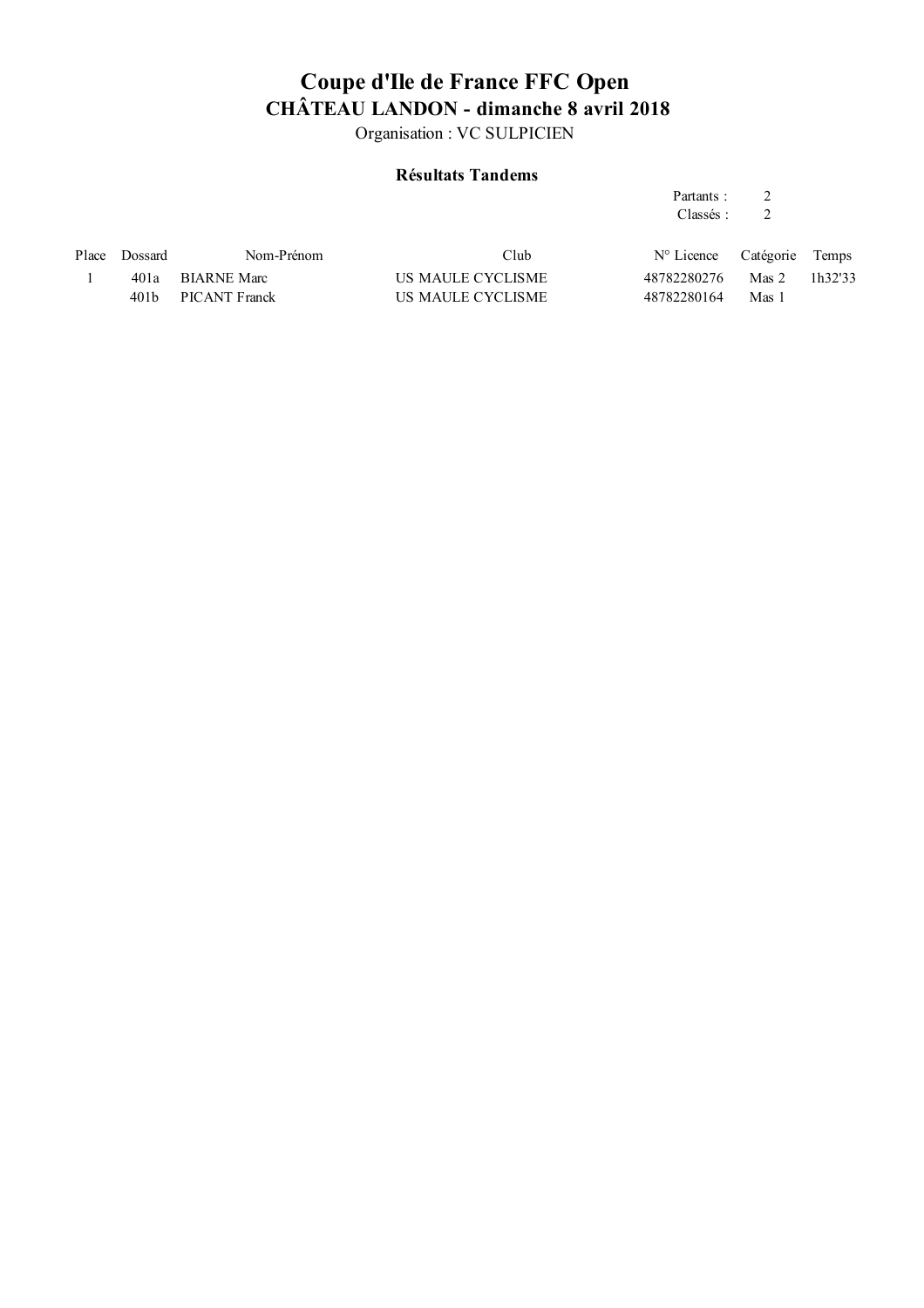Organisation : VC SULPICIEN

#### **Résultats Tandems**

#### Partants : 2 Classés : 2

| Place Dossard | Nom-Prénom         | Club              | N° Licence Catégorie Temps |       |         |
|---------------|--------------------|-------------------|----------------------------|-------|---------|
|               | 401a BIARNE Marc   | US MAULE CYCLISME | 48782280276 Mas 2          |       | 1h32'33 |
|               | 401b PICANT Franck | US MAULE CYCLISME | 48782280164                | Mas 1 |         |